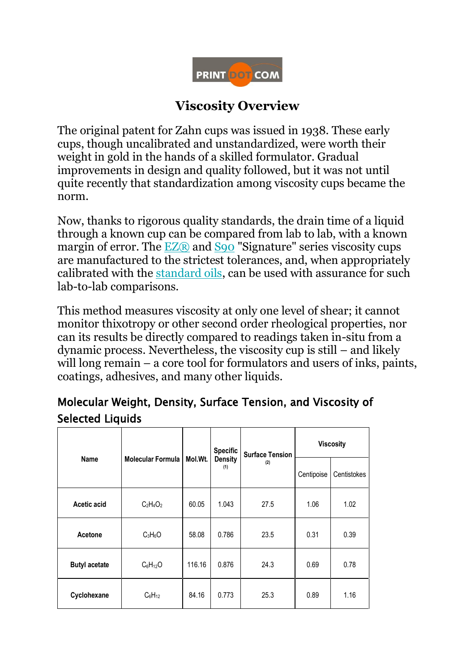

## **Viscosity Overview**

The original patent for Zahn cups was issued in 1938. These early cups, though uncalibrated and unstandardized, were worth their weight in gold in the hands of a skilled formulator. Gradual improvements in design and quality followed, but it was not until quite recently that standardization among viscosity cups became the norm.

Now, thanks to rigorous quality standards, the drain time of a liquid through a known cup can be compared from lab to lab, with a known margin of error. The  $EZ(\overline{R})$  and  $SQO$  "Signature" series viscosity cups are manufactured to the strictest tolerances, and, when appropriately calibrated with the [standard oils,](https://www.accudynetest.com/calibration_oils.html) can be used with assurance for such lab-to-lab comparisons.

This method measures viscosity at only one level of shear; it cannot monitor thixotropy or other second order rheological properties, nor can its results be directly compared to readings taken in-situ from a dynamic process. Nevertheless, the viscosity cup is still – and likely will long remain – a core tool for formulators and users of inks, paints, coatings, adhesives, and many other liquids.

## Molecular Weight, Density, Surface Tension, and Viscosity of Selected Liquids

| Name                 | Molecular Formula | Mol.Wt. | <b>Specific</b><br><b>Density</b><br>(1) | <b>Surface Tension</b><br>(2) | <b>Viscosity</b> |             |
|----------------------|-------------------|---------|------------------------------------------|-------------------------------|------------------|-------------|
|                      |                   |         |                                          |                               | Centipoise       | Centistokes |
| Acetic acid          | $C_2H_4O_2$       | 60.05   | 1.043                                    | 27.5                          | 1.06             | 1.02        |
| Acetone              | $C_3H_6O$         | 58.08   | 0.786                                    | 23.5                          | 0.31             | 0.39        |
| <b>Butyl acetate</b> | $C_6H_{12}O$      | 116.16  | 0.876                                    | 24.3                          | 0.69             | 0.78        |
| Cyclohexane          | $C_6H_{12}$       | 84.16   | 0.773                                    | 25.3                          | 0.89             | 1.16        |